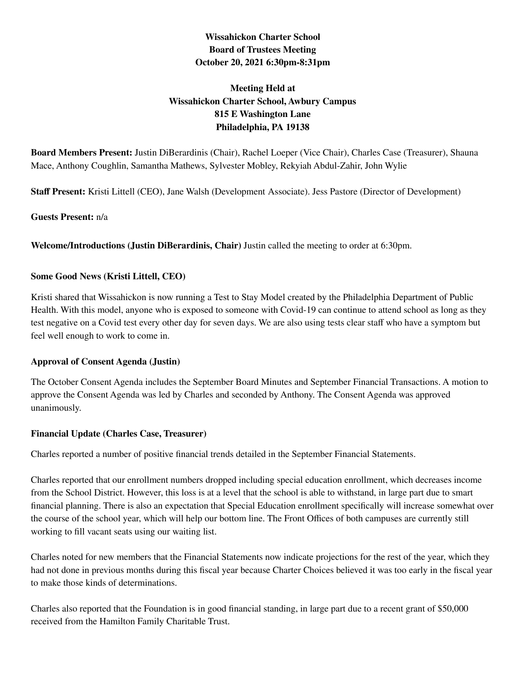## **Wissahickon Charter School Board of Trustees Meeting October 20, 2021 6:30pm-8:31pm**

# **Meeting Held at Wissahickon Charter School, Awbury Campus 815 E Washington Lane Philadelphia, PA 19138**

**Board Members Present:** Justin DiBerardinis (Chair), Rachel Loeper (Vice Chair), Charles Case (Treasurer), Shauna Mace, Anthony Coughlin, Samantha Mathews, Sylvester Mobley, Rekyiah Abdul-Zahir, John Wylie

**Staff Present:** Kristi Littell (CEO), Jane Walsh (Development Associate). Jess Pastore (Director of Development)

## **Guests Present:** n/a

**Welcome/Introductions (Justin DiBerardinis, Chair)** Justin called the meeting to order at 6:30pm.

#### **Some Good News (Kristi Littell, CEO)**

Kristi shared that Wissahickon is now running a Test to Stay Model created by the Philadelphia Department of Public Health. With this model, anyone who is exposed to someone with Covid-19 can continue to attend school as long as they test negative on a Covid test every other day for seven days. We are also using tests clear staff who have a symptom but feel well enough to work to come in.

## **Approval of Consent Agenda (Justin)**

The October Consent Agenda includes the September Board Minutes and September Financial Transactions. A motion to approve the Consent Agenda was led by Charles and seconded by Anthony. The Consent Agenda was approved unanimously.

#### **Financial Update (Charles Case, Treasurer)**

Charles reported a number of positive financial trends detailed in the September Financial Statements.

Charles reported that our enrollment numbers dropped including special education enrollment, which decreases income from the School District. However, this loss is at a level that the school is able to withstand, in large part due to smart financial planning. There is also an expectation that Special Education enrollment specifically will increase somewhat over the course of the school year, which will help our bottom line. The Front Offices of both campuses are currently still working to fill vacant seats using our waiting list.

Charles noted for new members that the Financial Statements now indicate projections for the rest of the year, which they had not done in previous months during this fiscal year because Charter Choices believed it was too early in the fiscal year to make those kinds of determinations.

Charles also reported that the Foundation is in good financial standing, in large part due to a recent grant of \$50,000 received from the Hamilton Family Charitable Trust.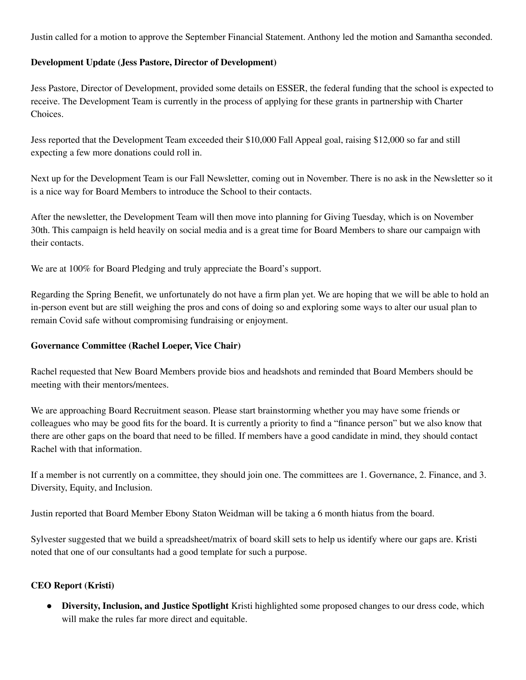Justin called for a motion to approve the September Financial Statement. Anthony led the motion and Samantha seconded.

#### **Development Update (Jess Pastore, Director of Development)**

Jess Pastore, Director of Development, provided some details on ESSER, the federal funding that the school is expected to receive. The Development Team is currently in the process of applying for these grants in partnership with Charter Choices.

Jess reported that the Development Team exceeded their \$10,000 Fall Appeal goal, raising \$12,000 so far and still expecting a few more donations could roll in.

Next up for the Development Team is our Fall Newsletter, coming out in November. There is no ask in the Newsletter so it is a nice way for Board Members to introduce the School to their contacts.

After the newsletter, the Development Team will then move into planning for Giving Tuesday, which is on November 30th. This campaign is held heavily on social media and is a great time for Board Members to share our campaign with their contacts.

We are at 100% for Board Pledging and truly appreciate the Board's support.

Regarding the Spring Benefit, we unfortunately do not have a firm plan yet. We are hoping that we will be able to hold an in-person event but are still weighing the pros and cons of doing so and exploring some ways to alter our usual plan to remain Covid safe without compromising fundraising or enjoyment.

#### **Governance Committee (Rachel Loeper, Vice Chair)**

Rachel requested that New Board Members provide bios and headshots and reminded that Board Members should be meeting with their mentors/mentees.

We are approaching Board Recruitment season. Please start brainstorming whether you may have some friends or colleagues who may be good fits for the board. It is currently a priority to find a "finance person" but we also know that there are other gaps on the board that need to be filled. If members have a good candidate in mind, they should contact Rachel with that information.

If a member is not currently on a committee, they should join one. The committees are 1. Governance, 2. Finance, and 3. Diversity, Equity, and Inclusion.

Justin reported that Board Member Ebony Staton Weidman will be taking a 6 month hiatus from the board.

Sylvester suggested that we build a spreadsheet/matrix of board skill sets to help us identify where our gaps are. Kristi noted that one of our consultants had a good template for such a purpose.

## **CEO Report (Kristi)**

● **Diversity, Inclusion, and Justice Spotlight** Kristi highlighted some proposed changes to our dress code, which will make the rules far more direct and equitable.